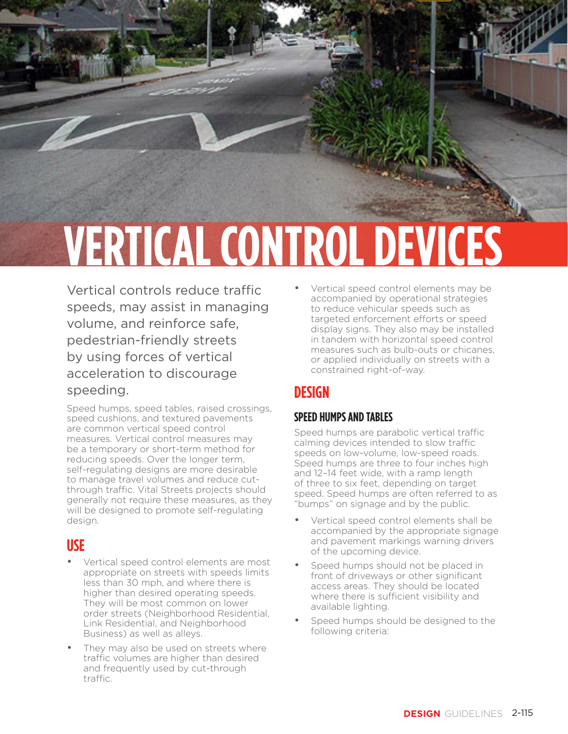# **VERTICAL CONTROL DEVICES**

Vertical controls reduce traffic speeds, may assist in managing volume, and reinforce safe, pedestrian-friendly streets by using forces of vertical acceleration to discourage speeding.

Speed humps, speed tables, raised crossings, speed cushions, and textured pavements are common vertical speed control measures. Vertical control measures may be a temporary or short-term method for reducing speeds. Over the longer term, self-regulating designs are more desirable to manage travel volumes and reduce cutthrough traffic. Vital Streets projects should generally not require these measures, as they will be designed to promote self-regulating design.

## **USE**

- Vertical speed control elements are most appropriate on streets with speeds limits less than 30 mph, and where there is higher than desired operating speeds. They will be most common on lower order streets (Neighborhood Residential, Link Residential, and Neighborhood Business) as well as alleys.
- They may also be used on streets where traffic volumes are higher than desired and frequently used by cut-through traffic.

• Vertical speed control elements may be accompanied by operational strategies to reduce vehicular speeds such as targeted enforcement efforts or speed display signs. They also may be installed in tandem with horizontal speed control measures such as bulb-outs or chicanes, or applied individually on streets with a constrained right-of-way.

 $T = T$ 

## **DESIGN**

### **SPEED HUMPS AND TABLES**

Speed humps are parabolic vertical traffic calming devices intended to slow traffic speeds on low-volume, low-speed roads. Speed humps are three to four inches high and 12–14 feet wide, with a ramp length of three to six feet, depending on target speed. Speed humps are often referred to as "bumps" on signage and by the public.

- Vertical speed control elements shall be accompanied by the appropriate signage and pavement markings warning drivers of the upcoming device.
- Speed humps should not be placed in front of driveways or other significant access areas. They should be located where there is sufficient visibility and available lighting.
- Speed humps should be designed to the following criteria: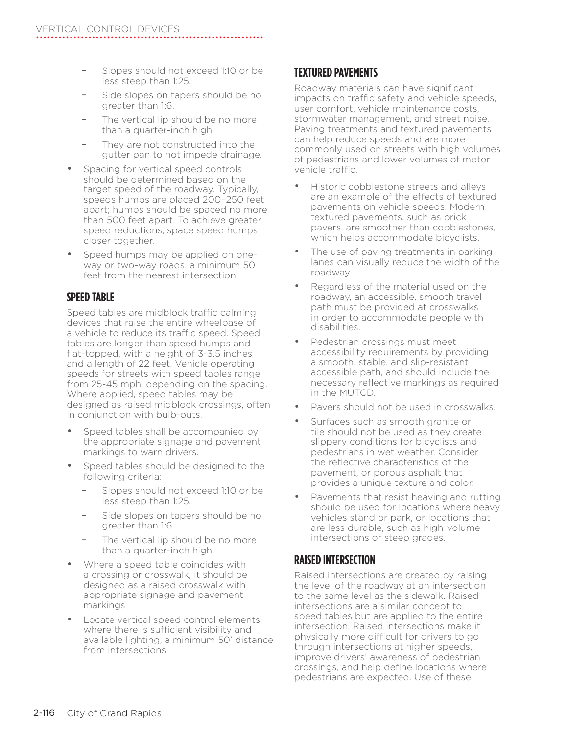- Slopes should not exceed 1:10 or be less steep than 1:25.
- Side slopes on tapers should be no greater than 1:6.
- The vertical lip should be no more than a quarter-inch high.
- They are not constructed into the gutter pan to not impede drainage.
- Spacing for vertical speed controls should be determined based on the target speed of the roadway. Typically, speeds humps are placed 200–250 feet apart; humps should be spaced no more than 500 feet apart. To achieve greater speed reductions, space speed humps closer together.
- Speed humps may be applied on oneway or two-way roads, a minimum 50 feet from the nearest intersection.

#### **SPEED TABLE**

Speed tables are midblock traffic calming devices that raise the entire wheelbase of a vehicle to reduce its traffic speed. Speed tables are longer than speed humps and flat-topped, with a height of 3-3.5 inches and a length of 22 feet. Vehicle operating speeds for streets with speed tables range from 25-45 mph, depending on the spacing. Where applied, speed tables may be designed as raised midblock crossings, often in conjunction with bulb-outs.

- Speed tables shall be accompanied by the appropriate signage and pavement markings to warn drivers.
- Speed tables should be designed to the following criteria:
	- Slopes should not exceed 1:10 or be less steep than 1:25.
	- Side slopes on tapers should be no greater than 1:6.
	- The vertical lip should be no more than a quarter-inch high.
- Where a speed table coincides with a crossing or crosswalk, it should be designed as a raised crosswalk with appropriate signage and pavement markings
- Locate vertical speed control elements where there is sufficient visibility and available lighting, a minimum 50' distance from intersections

#### **TEXTURED PAVEMENTS**

Roadway materials can have significant impacts on traffic safety and vehicle speeds, user comfort, vehicle maintenance costs, stormwater management, and street noise. Paving treatments and textured pavements can help reduce speeds and are more commonly used on streets with high volumes of pedestrians and lower volumes of motor vehicle traffic.

- Historic cobblestone streets and alleys are an example of the effects of textured pavements on vehicle speeds. Modern textured pavements, such as brick pavers, are smoother than cobblestones, which helps accommodate bicyclists.
- The use of paving treatments in parking lanes can visually reduce the width of the roadway.
- Regardless of the material used on the roadway, an accessible, smooth travel path must be provided at crosswalks in order to accommodate people with disabilities.
- Pedestrian crossings must meet accessibility requirements by providing a smooth, stable, and slip-resistant accessible path, and should include the necessary reflective markings as required in the MUTCD.
- Pavers should not be used in crosswalks.
- Surfaces such as smooth granite or tile should not be used as they create slippery conditions for bicyclists and pedestrians in wet weather. Consider the reflective characteristics of the pavement, or porous asphalt that provides a unique texture and color.
- Pavements that resist heaving and rutting should be used for locations where heavy vehicles stand or park, or locations that are less durable, such as high-volume intersections or steep grades.

#### **RAISED INTERSECTION**

Raised intersections are created by raising the level of the roadway at an intersection to the same level as the sidewalk. Raised intersections are a similar concept to speed tables but are applied to the entire intersection. Raised intersections make it physically more difficult for drivers to go through intersections at higher speeds, improve drivers' awareness of pedestrian crossings, and help define locations where pedestrians are expected. Use of these